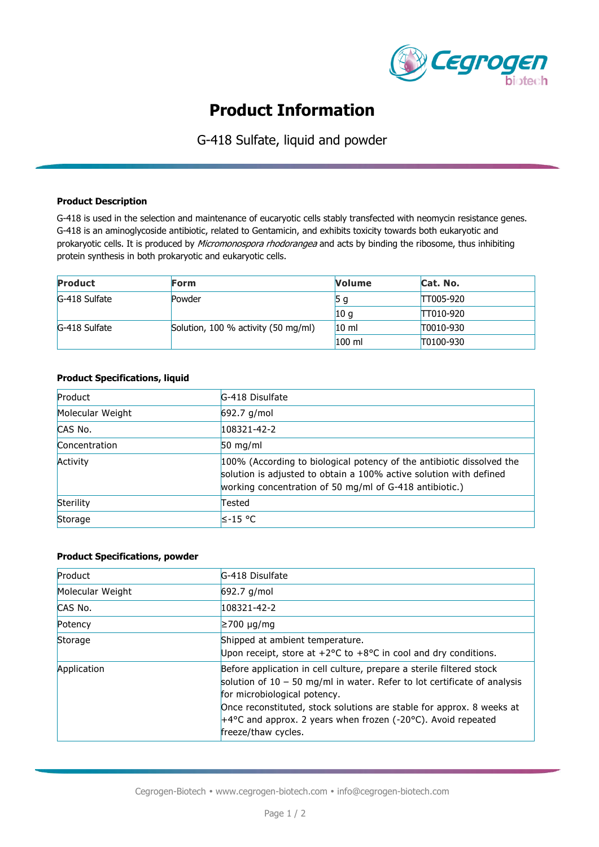

# **Product Information**

G-418 Sulfate, liquid and powder

### **Product Description**

G-418 is used in the selection and maintenance of eucaryotic cells stably transfected with neomycin resistance genes. G-418 is an aminoglycoside antibiotic, related to Gentamicin, and exhibits toxicity towards both eukaryotic and prokaryotic cells. It is produced by Micromonospora rhodorangea and acts by binding the ribosome, thus inhibiting protein synthesis in both prokaryotic and eukaryotic cells.

| <b>Product</b> | Form                                | <b>Volume</b>   | Cat. No.         |
|----------------|-------------------------------------|-----------------|------------------|
| G-418 Sulfate  | Powder                              | 5 g             | <b>TT005-920</b> |
|                |                                     | 10 g            | TT010-920        |
| G-418 Sulfate  | Solution, 100 % activity (50 mg/ml) | 10 <sub>m</sub> | T0010-930        |
|                |                                     | $100$ ml        | T0100-930        |

### **Product Specifications, liquid**

| Product          | G-418 Disulfate                                                                                                                                                                                        |
|------------------|--------------------------------------------------------------------------------------------------------------------------------------------------------------------------------------------------------|
| Molecular Weight | $692.7$ g/mol                                                                                                                                                                                          |
| CAS No.          | 108321-42-2                                                                                                                                                                                            |
| Concentration    | $50 \text{ mg/ml}$                                                                                                                                                                                     |
| Activity         | 100% (According to biological potency of the antibiotic dissolved the<br>solution is adjusted to obtain a 100% active solution with defined<br>working concentration of 50 mg/ml of G-418 antibiotic.) |
| Sterility        | Tested                                                                                                                                                                                                 |
| Storage          | l≤-15 °C                                                                                                                                                                                               |

## **Product Specifications, powder**

| Product          | G-418 Disulfate                                                                                                                                                                                                                                                                                                                                                         |  |
|------------------|-------------------------------------------------------------------------------------------------------------------------------------------------------------------------------------------------------------------------------------------------------------------------------------------------------------------------------------------------------------------------|--|
| Molecular Weight | $692.7$ g/mol                                                                                                                                                                                                                                                                                                                                                           |  |
| CAS No.          | $108321 - 42 - 2$                                                                                                                                                                                                                                                                                                                                                       |  |
| Potency          | $\geq 700 \text{ µq/mol}$                                                                                                                                                                                                                                                                                                                                               |  |
| Storage          | Shipped at ambient temperature.<br>Upon receipt, store at $+2$ °C to $+8$ °C in cool and dry conditions.                                                                                                                                                                                                                                                                |  |
| Application      | Before application in cell culture, prepare a sterile filtered stock<br>solution of $10 - 50$ mg/ml in water. Refer to lot certificate of analysis<br>for microbiological potency.<br>Once reconstituted, stock solutions are stable for approx. 8 weeks at<br>$+4^{\circ}$ C and approx. 2 years when frozen (-20 $^{\circ}$ C). Avoid repeated<br>freeze/thaw cycles. |  |